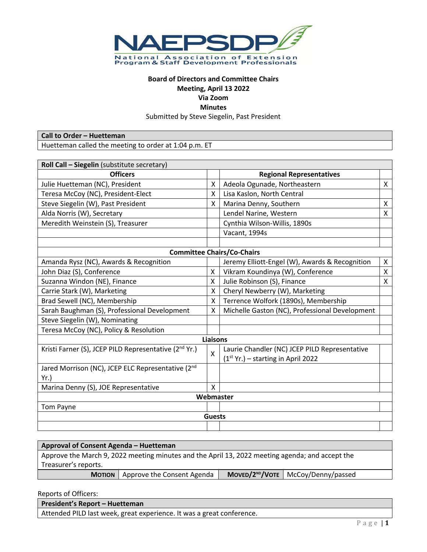

# **Board of Directors and Committee Chairs Meeting, April 13 2022**

**Via Zoom**

**Minutes**

Submitted by Steve Siegelin, Past President

**Call to Order – Huetteman**

Huetteman called the meeting to order at 1:04 p.m. ET

| Roll Call - Siegelin (substitute secretary)                       |                         |                                                |   |  |
|-------------------------------------------------------------------|-------------------------|------------------------------------------------|---|--|
| <b>Officers</b>                                                   |                         | <b>Regional Representatives</b>                |   |  |
| Julie Huetteman (NC), President                                   | X                       | Adeola Ogunade, Northeastern                   | X |  |
| Teresa McCoy (NC), President-Elect                                | X                       | Lisa Kaslon, North Central                     |   |  |
| Steve Siegelin (W), Past President                                | X                       | Marina Denny, Southern                         | X |  |
| Alda Norris (W), Secretary                                        |                         | Lendel Narine, Western                         | X |  |
| Meredith Weinstein (S), Treasurer                                 |                         | Cynthia Wilson-Willis, 1890s                   |   |  |
|                                                                   |                         | Vacant, 1994s                                  |   |  |
|                                                                   |                         |                                                |   |  |
|                                                                   |                         | <b>Committee Chairs/Co-Chairs</b>              |   |  |
| Amanda Rysz (NC), Awards & Recognition                            |                         | Jeremy Elliott-Engel (W), Awards & Recognition | X |  |
| John Diaz (S), Conference                                         | X                       | Vikram Koundinya (W), Conference               | X |  |
| Suzanna Windon (NE), Finance                                      | X                       | Julie Robinson (S), Finance                    | Χ |  |
| Carrie Stark (W), Marketing                                       | X                       | Cheryl Newberry (W), Marketing                 |   |  |
| Brad Sewell (NC), Membership                                      | X                       | Terrence Wolfork (1890s), Membership           |   |  |
| Sarah Baughman (S), Professional Development                      | X                       | Michelle Gaston (NC), Professional Development |   |  |
| Steve Siegelin (W), Nominating                                    |                         |                                                |   |  |
| Teresa McCoy (NC), Policy & Resolution                            |                         |                                                |   |  |
| <b>Liaisons</b>                                                   |                         |                                                |   |  |
| Kristi Farner (S), JCEP PILD Representative (2 <sup>nd</sup> Yr.) |                         | Laurie Chandler (NC) JCEP PILD Representative  |   |  |
|                                                                   | $\mathsf{\overline{X}}$ | $(1st Yr.)$ - starting in April 2022           |   |  |
| Jared Morrison (NC), JCEP ELC Representative (2nd                 |                         |                                                |   |  |
| Yr.                                                               |                         |                                                |   |  |
| Marina Denny (S), JOE Representative                              | X                       |                                                |   |  |
| Webmaster                                                         |                         |                                                |   |  |
| Tom Payne                                                         |                         |                                                |   |  |
|                                                                   | <b>Guests</b>           |                                                |   |  |
|                                                                   |                         |                                                |   |  |

| Approval of Consent Agenda - Huetteman                                                          |                            |  |                                           |
|-------------------------------------------------------------------------------------------------|----------------------------|--|-------------------------------------------|
| Approve the March 9, 2022 meeting minutes and the April 13, 2022 meeting agenda; and accept the |                            |  |                                           |
| Treasurer's reports.                                                                            |                            |  |                                           |
| <b>MOTION</b>                                                                                   | Approve the Consent Agenda |  | $MoveD/2^{ND}/V$ OTE   McCoy/Denny/passed |

Reports of Officers:

| President's Report - Huetteman                                        |
|-----------------------------------------------------------------------|
| Attended PILD last week, great experience. It was a great conference. |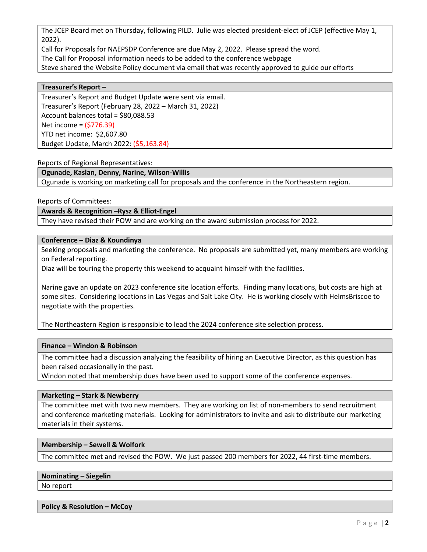The JCEP Board met on Thursday, following PILD. Julie was elected president-elect of JCEP (effective May 1, 2022).

Call for Proposals for NAEPSDP Conference are due May 2, 2022. Please spread the word. The Call for Proposal information needs to be added to the conference webpage Steve shared the Website Policy document via email that was recently approved to guide our efforts

## **Treasurer's Report –**

Treasurer's Report and Budget Update were sent via email. Treasurer's Report (February 28, 2022 – March 31, 2022) Account balances total = \$80,088.53 Net income = (\$776.39) YTD net income: \$2,607.80 Budget Update, March 2022: (\$5,163.84)

Reports of Regional Representatives:

## **Ogunade, Kaslan, Denny, Narine, Wilson-Willis**

Ogunade is working on marketing call for proposals and the conference in the Northeastern region.

Reports of Committees:

**Awards & Recognition –Rysz & Elliot-Engel**

They have revised their POW and are working on the award submission process for 2022.

## **Conference – Diaz & Koundinya**

Seeking proposals and marketing the conference. No proposals are submitted yet, many members are working on Federal reporting.

Diaz will be touring the property this weekend to acquaint himself with the facilities.

Narine gave an update on 2023 conference site location efforts. Finding many locations, but costs are high at some sites. Considering locations in Las Vegas and Salt Lake City. He is working closely with HelmsBriscoe to negotiate with the properties.

The Northeastern Region is responsible to lead the 2024 conference site selection process.

# **Finance – Windon & Robinson**

The committee had a discussion analyzing the feasibility of hiring an Executive Director, as this question has been raised occasionally in the past.

Windon noted that membership dues have been used to support some of the conference expenses.

#### **Marketing – Stark & Newberry**

The committee met with two new members. They are working on list of non-members to send recruitment and conference marketing materials. Looking for administrators to invite and ask to distribute our marketing materials in their systems.

# **Membership – Sewell & Wolfork**

The committee met and revised the POW. We just passed 200 members for 2022, 44 first-time members.

#### **Nominating – Siegelin**

No report

#### **Policy & Resolution – McCoy**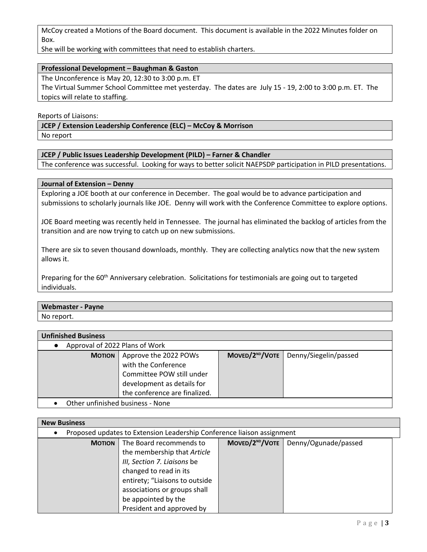McCoy created a Motions of the Board document. This document is available in the 2022 Minutes folder on Box.

She will be working with committees that need to establish charters.

# **Professional Development – Baughman & Gaston**

The Unconference is May 20, 12:30 to 3:00 p.m. ET

The Virtual Summer School Committee met yesterday. The dates are July 15 - 19, 2:00 to 3:00 p.m. ET. The topics will relate to staffing.

Reports of Liaisons:

**JCEP / Extension Leadership Conference (ELC) – McCoy & Morrison**

No report

## **JCEP / Public Issues Leadership Development (PILD) – Farner & Chandler**

The conference was successful. Looking for ways to better solicit NAEPSDP participation in PILD presentations.

## **Journal of Extension – Denny**

Exploring a JOE booth at our conference in December. The goal would be to advance participation and submissions to scholarly journals like JOE. Denny will work with the Conference Committee to explore options.

JOE Board meeting was recently held in Tennessee. The journal has eliminated the backlog of articles from the transition and are now trying to catch up on new submissions.

There are six to seven thousand downloads, monthly. They are collecting analytics now that the new system allows it.

Preparing for the 60<sup>th</sup> Anniversary celebration. Solicitations for testimonials are going out to targeted individuals.

# **Webmaster - Payne**

No report.

| <b>Unfinished Business</b>       |                               |  |                                                   |
|----------------------------------|-------------------------------|--|---------------------------------------------------|
| Approval of 2022 Plans of Work   |                               |  |                                                   |
| <b>MOTION</b>                    | Approve the 2022 POWs         |  | MOVED/2 <sup>ND</sup> /VOTE Denny/Siegelin/passed |
|                                  | with the Conference           |  |                                                   |
|                                  | Committee POW still under     |  |                                                   |
|                                  | development as details for    |  |                                                   |
|                                  | the conference are finalized. |  |                                                   |
| Other unfinished business - None |                               |  |                                                   |

| <b>New Business</b>                                                    |                                                                                                                                                                                   |                             |                      |  |
|------------------------------------------------------------------------|-----------------------------------------------------------------------------------------------------------------------------------------------------------------------------------|-----------------------------|----------------------|--|
| Proposed updates to Extension Leadership Conference liaison assignment |                                                                                                                                                                                   |                             |                      |  |
| <b>MOTION</b>                                                          | The Board recommends to<br>the membership that Article<br>III, Section 7. Liaisons be<br>changed to read in its<br>entirety; "Liaisons to outside<br>associations or groups shall | MOVED/2 <sup>ND</sup> /VOTE | Denny/Ogunade/passed |  |
|                                                                        | be appointed by the<br>President and approved by                                                                                                                                  |                             |                      |  |